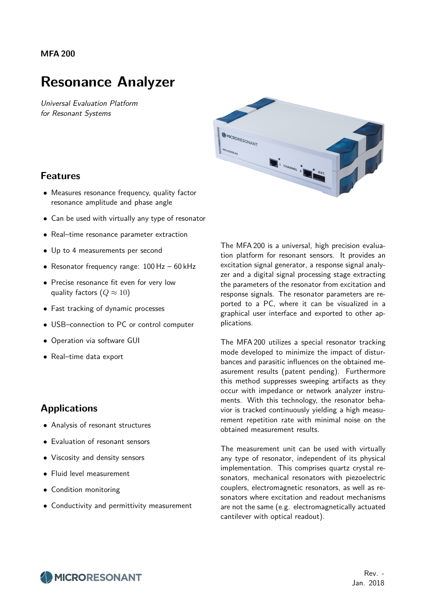#### **MFA 200**

## **Resonance Analyzer**

Universal Evaluation Platform for Resonant Systems



#### **Features**

- Measures resonance frequency, quality factor resonance amplitude and phase angle
- Can be used with virtually any type of resonator
- Real–time resonance parameter extraction
- Up to 4 measurements per second
- Resonator frequency range: 100 Hz 60 kHz
- Precise resonance fit even for very low quality factors  $(Q \approx 10)$
- Fast tracking of dynamic processes
- USB–connection to PC or control computer
- Operation via software GUI
- Real–time data export

#### **Applications**

- Analysis of resonant structures
- Evaluation of resonant sensors
- Viscosity and density sensors
- Fluid level measurement
- Condition monitoring
- Conductivity and permittivity measurement

The MFA 200 is a universal, high precision evaluation platform for resonant sensors. It provides an excitation signal generator, a response signal analyzer and a digital signal processing stage extracting the parameters of the resonator from excitation and response signals. The resonator parameters are reported to a PC, where it can be visualized in a graphical user interface and exported to other applications.

The MFA 200 utilizes a special resonator tracking mode developed to minimize the impact of disturbances and parasitic influences on the obtained measurement results (patent pending). Furthermore this method suppresses sweeping artifacts as they occur with impedance or network analyzer instruments. With this technology, the resonator behavior is tracked continuously yielding a high measurement repetition rate with minimal noise on the obtained measurement results.

The measurement unit can be used with virtually any type of resonator, independent of its physical implementation. This comprises quartz crystal resonators, mechanical resonators with piezoelectric couplers, electromagnetic resonators, as well as resonators where excitation and readout mechanisms are not the same (e.g. electromagnetically actuated cantilever with optical readout).

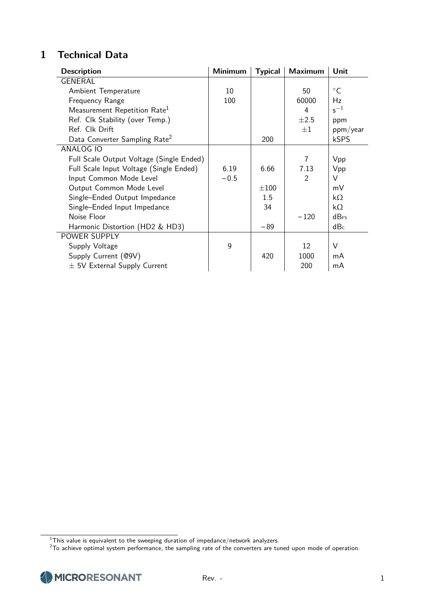## **1 Technical Data**

| <b>Description</b>                        | <b>Minimum</b> | <b>Typical</b> | <b>Maximum</b> | Unit               |
|-------------------------------------------|----------------|----------------|----------------|--------------------|
| <b>GENERAL</b>                            |                |                |                |                    |
| Ambient Temperature                       | 10             |                | 50             | $\circ$ C          |
| Frequency Range                           | 100            |                | 60000          | Hz                 |
| Measurement Repetition Rate <sup>1</sup>  |                |                | 4              | $s^{-1}$           |
| Ref. Clk Stability (over Temp.)           |                |                | $\pm 2.5$      | ppm                |
| Ref. Clk Drift                            |                |                | $+1$           | ppm/year           |
| Data Converter Sampling Rate <sup>2</sup> |                | 200            |                | kSPS               |
| ANALOG IO                                 |                |                |                |                    |
| Full Scale Output Voltage (Single Ended)  |                |                | 7              | Vpp                |
| Full Scale Input Voltage (Single Ended)   | 6.19           | 6.66           | 7.13           | Vpp                |
| Input Common Mode Level                   | $-0.5$         |                | $\mathcal{P}$  | V                  |
| Output Common Mode Level                  |                | $\pm 100$      |                | mV                 |
| Single-Ended Output Impedance             |                | 1.5            |                | $k\Omega$          |
| Single-Ended Input Impedance              |                | 34             |                | $k\Omega$          |
| Noise Floor                               |                |                | $-120$         | $dB$ <sub>FS</sub> |
| Harmonic Distortion (HD2 & HD3)           |                | $-89$          |                | dB <sub>c</sub>    |
| POWER SUPPLY                              |                |                |                |                    |
| Supply Voltage                            | 9              |                | 12             | $\vee$             |
| Supply Current (@9V)                      |                | 420            | 1000           | mA                 |
| $\pm$ 5V External Supply Current          |                |                | 200            | mA                 |

 $^1$ This value is equivalent to the sweeping duration of impedance/network analyzers.

 $^2$ To achieve optimal system performance, the sampling rate of the converters are tuned upon mode of operation.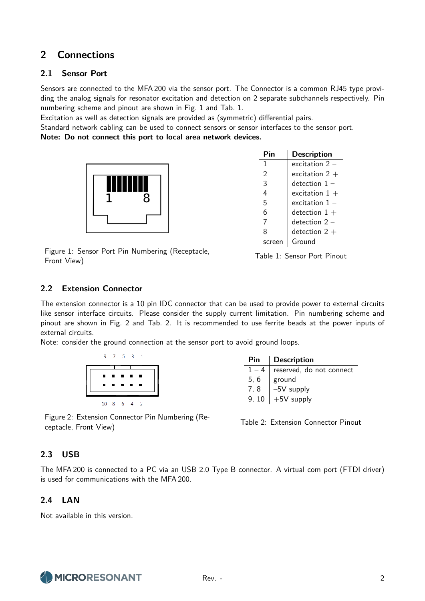## **2 Connections**

#### **2.1 Sensor Port**

Sensors are connected to the MFA 200 via the sensor port. The Connector is a common RJ45 type providing the analog signals for resonator excitation and detection on 2 separate subchannels respectively. Pin numbering scheme and pinout are shown in Fig. 1 and Tab. 1.

Excitation as well as detection signals are provided as (symmetric) differential pairs.

Standard network cabling can be used to connect sensors or sensor interfaces to the sensor port. **Note: Do not connect this port to local area network devices.**



| Pin    | <b>Description</b> |
|--------|--------------------|
| 1      | excitation $2 -$   |
| 2      | excitation 2 $+$   |
| 3      | detection $1 -$    |
| 4      | excitation $1+$    |
| 5      | excitation $1 -$   |
| 6      | detection $1+$     |
| 7      | $detection$ 2 $-$  |
| 8      | detection 2 $+$    |
| screer | Ground             |

Figure 1: Sensor Port Pin Numbering (Receptacle, Figure 1: Sensor Fort Fin Numbering (Receptacie, Table 1: Sensor Port Pinout Front View)

#### **2.2 Extension Connector**

The extension connector is a 10 pin IDC connector that can be used to provide power to external circuits like sensor interface circuits. Please consider the supply current limitation. Pin numbering scheme and pinout are shown in Fig. 2 and Tab. 2. It is recommended to use ferrite beads at the power inputs of external circuits.

Note: consider the ground connection at the sensor port to avoid ground loops.

| q  |      | 5.            | -3             |   |  |
|----|------|---------------|----------------|---|--|
| П  | и    | ×             | и              | и |  |
|    | o de | $\mathcal{L}$ | <b>Section</b> | ш |  |
| 10 | 8    | 6             |                |   |  |

| Pin     | <b>Description</b>       |
|---------|--------------------------|
| $1 - 4$ | reserved, do not connect |
| 5.6     | ground                   |
| 7.8     | -5V supply               |
| 9, 10   | $+5V$ supply             |

Figure 2: Extension Connector Pin Numbering (Re-Tigure 2. Extension Connector Finited methods (Ne-<br>
Table 2: Extension Connector Pinout ceptacle, Front View)

#### **2.3 USB**

The MFA 200 is connected to a PC via an USB 2.0 Type B connector. A virtual com port (FTDI driver) is used for communications with the MFA 200.

#### **2.4 LAN**

Not available in this version.

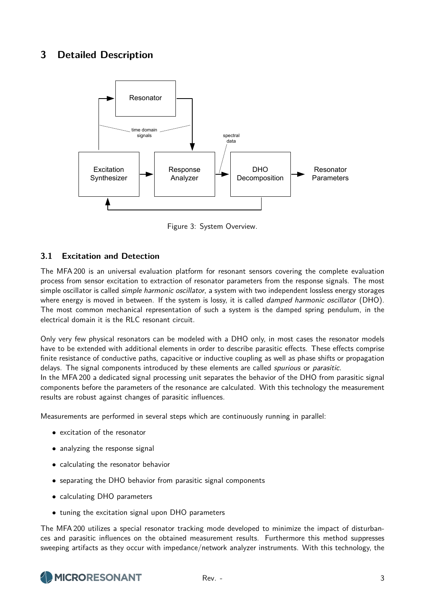## **3 Detailed Description**



Figure 3: System Overview.

#### **3.1 Excitation and Detection**

The MFA 200 is an universal evaluation platform for resonant sensors covering the complete evaluation process from sensor excitation to extraction of resonator parameters from the response signals. The most simple oscillator is called *simple harmonic oscillator*, a system with two independent lossless energy storages where energy is moved in between. If the system is lossy, it is called *damped harmonic oscillator* (DHO). The most common mechanical representation of such a system is the damped spring pendulum, in the electrical domain it is the RLC resonant circuit.

Only very few physical resonators can be modeled with a DHO only, in most cases the resonator models have to be extended with additional elements in order to describe parasitic effects. These effects comprise finite resistance of conductive paths, capacitive or inductive coupling as well as phase shifts or propagation delays. The signal components introduced by these elements are called *spurious* or *parasitic*.

In the MFA 200 a dedicated signal processing unit separates the behavior of the DHO from parasitic signal components before the parameters of the resonance are calculated. With this technology the measurement results are robust against changes of parasitic influences.

Measurements are performed in several steps which are continuously running in parallel:

- excitation of the resonator
- analyzing the response signal
- calculating the resonator behavior
- separating the DHO behavior from parasitic signal components
- calculating DHO parameters
- tuning the excitation signal upon DHO parameters

The MFA 200 utilizes a special resonator tracking mode developed to minimize the impact of disturbances and parasitic influences on the obtained measurement results. Furthermore this method suppresses sweeping artifacts as they occur with impedance/network analyzer instruments. With this technology, the

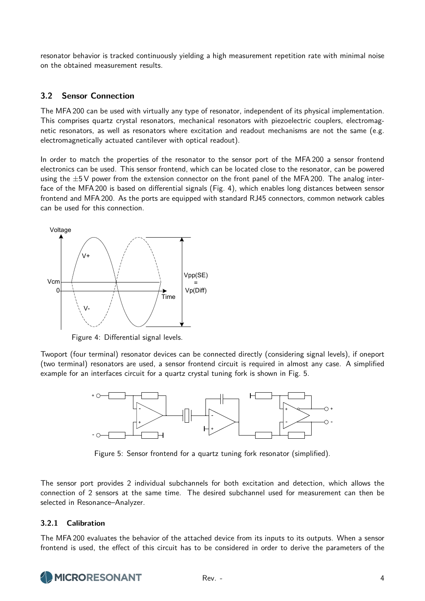resonator behavior is tracked continuously yielding a high measurement repetition rate with minimal noise on the obtained measurement results.

#### **3.2 Sensor Connection**

The MFA 200 can be used with virtually any type of resonator, independent of its physical implementation. This comprises quartz crystal resonators, mechanical resonators with piezoelectric couplers, electromag-<br>netic resonators, as well as resonators where excitation and readout mechanisms are not the same (e.g netic resonators, as well as resonators where excitation and readout mechanisms are not the same (e.g.  $\epsilon$  electromagnetically actuated cantilever with optical readout).

In order to match the properties of the resonator to the sensor port of the MFA 200 a sensor frontend electronics can be used. This sensor frontend, which can be located close to the resonator, can be powered using the  $\pm 5$  V power from the extension connector on the front panel of the MFA 200. The analog interface of the MFA 200 is based on differential signals (Fig. 4), which enables long distances between sensor frontend and MFA 200. As the ports are equipped with standard RJ45 connectors, common network cables can be used for this connection.



Figure 4: Differential signal levels.

Twoport (four terminal) resonator devices can be connected directly (considering signal levels), if oneport (two terminal) resonators are used, a sensor frontend circuit is required in almost any case. A simplified example for an interfaces circuit for a quartz crystal tuning fork is shown in Fig. 5.



Figure 5: Sensor frontend for a quartz tuning fork resonator (simplified).

The sensor port provides 2 individual subchannels for both excitation and detection, which allows the connection of 2 sensors at the same time. The desired subchannel used for measurement can then be selected in Resonance–Analyzer.

#### **3.2.1 Calibration**

frontend is used, the effect of this circuit has to be considered in order to derive the parameters of the<br> The MFA 200 evaluates the behavior of the attached device from its inputs to its outputs. When a sensor

# excitiation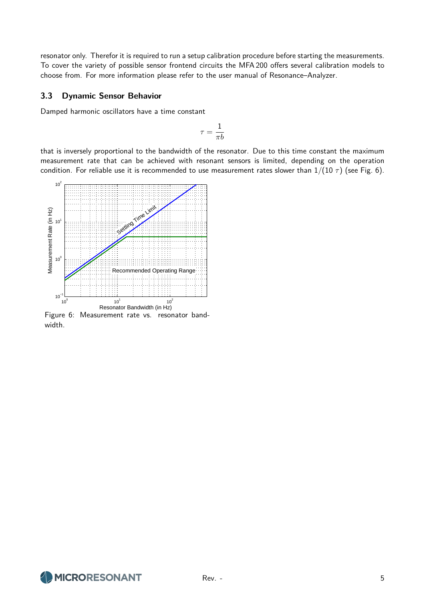resonator only. Therefor it is required to run a setup calibration procedure before starting the measurements. To cover the variety of possible sensor frontend circuits the MFA 200 offers several calibration models to choose from. For more information please refer to the user manual of Resonance–Analyzer.

#### **3.3 Dynamic Sensor Behavior**

Damped harmonic oscillators have a time constant

$$
\tau = \frac{1}{\pi b}
$$

that is inversely proportional to the bandwidth of the resonator. Due to this time constant the maximum measurement rate that can be achieved with resonant sensors is limited, depending on the operation condition. For reliable use it is recommended to use measurement rates slower than  $1/(10 \tau)$  (see Fig. 6).



Figure 6: Measurement rate vs. resonator bandwidth.

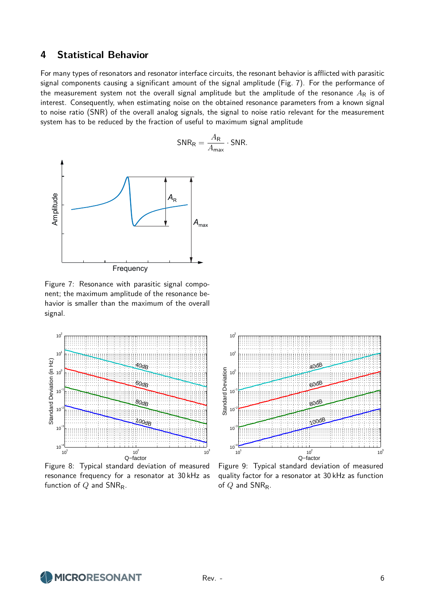#### **4 Statistical Behavior**

For many types of resonators and resonator interface circuits, the resonant behavior is afflicted with parasitic signal components causing a significant amount of the signal amplitude (Fig. 7). For the performance of the measurement system not the overall signal amplitude but the amplitude of the resonance  $A_R$  is of interest. Consequently, when estimating noise on the obtained resonance parameters from a known signal to noise ratio (SNR) of the overall analog signals, the signal to noise ratio relevant for the measurement system has to be reduced by the fraction of useful to maximum signal amplitude



Figure 7: Resonance with parasitic signal component; the maximum amplitude of the resonance behavior is smaller than the maximum of the overall signal.



Figure 8: Typical standard deviation of measured resonance frequency for a resonator at 30 kHz as function of *Q* and SNR<sub>R</sub>.



Figure 9: Typical standard deviation of measured quality factor for a resonator at 30 kHz as function of *Q* and SNRR.